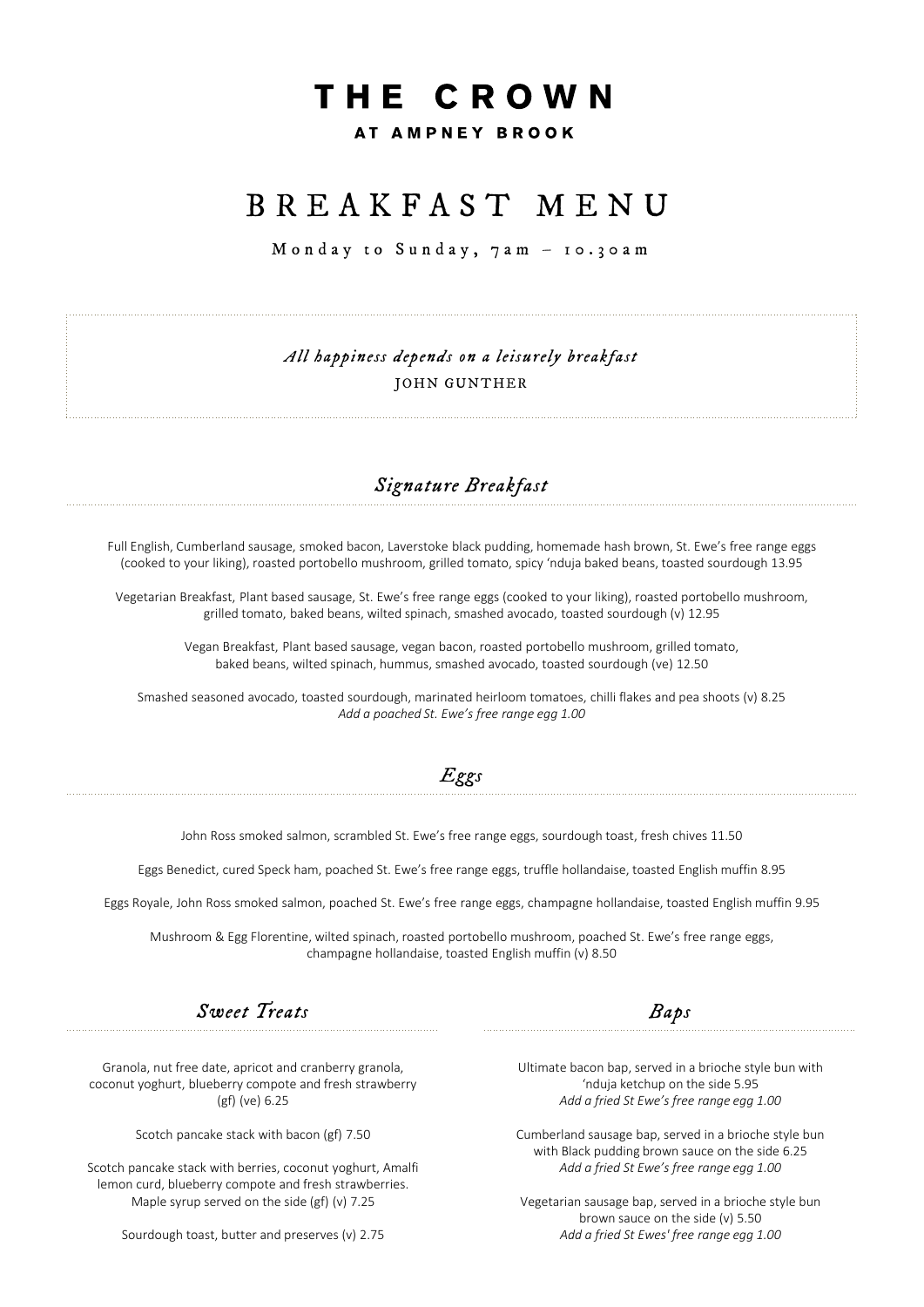# THE CROWN

### AT AMPNEY BROOK

## B R E A K F A S T M E N U

Monday to Sunday,  $7am - 10.30am$ 

*All happiness depends on a leisurely breakfast* JOHN GUNTHER

## *Signature Breakfast*

Full English, Cumberland sausage, smoked bacon, Laverstoke black pudding, homemade hash brown, St. Ewe's free range eggs (cooked to your liking), roasted portobello mushroom, grilled tomato, spicy 'nduja baked beans, toasted sourdough 13.95

Vegetarian Breakfast, Plant based sausage, St. Ewe's free range eggs (cooked to your liking), roasted portobello mushroom, grilled tomato, baked beans, wilted spinach, smashed avocado, toasted sourdough (v) 12.95

Vegan Breakfast, Plant based sausage, vegan bacon, roasted portobello mushroom, grilled tomato, baked beans, wilted spinach, hummus, smashed avocado, toasted sourdough (ve) 12.50

Smashed seasoned avocado, toasted sourdough, marinated heirloom tomatoes, chilli flakes and pea shoots (v) 8.25 *Add a poached St. Ewe's free range egg 1.00*

## *Eggs*

John Ross smoked salmon, scrambled St. Ewe's free range eggs, sourdough toast, fresh chives 11.50

Eggs Benedict, cured Speck ham, poached St. Ewe's free range eggs, truffle hollandaise, toasted English muffin 8.95

Eggs Royale, John Ross smoked salmon, poached St. Ewe's free range eggs, champagne hollandaise, toasted English muffin 9.95

Mushroom & Egg Florentine, wilted spinach, roasted portobello mushroom, poached St. Ewe's free range eggs, champagne hollandaise, toasted English muffin (v) 8.50

*Sweet Treats Baps*

Granola, nut free date, apricot and cranberry granola, coconut yoghurt, blueberry compote and fresh strawberry (gf) (ve) 6.25

Scotch pancake stack with bacon (gf) 7.50

Scotch pancake stack with berries, coconut yoghurt, Amalfi lemon curd, blueberry compote and fresh strawberries. Maple syrup served on the side (gf) (v) 7.25

Sourdough toast, butter and preserves (v) 2.75

Ultimate bacon bap, served in a brioche style bun with 'nduja ketchup on the side 5.95 *Add a fried St Ewe's free range egg 1.00*

Cumberland sausage bap, served in a brioche style bun with Black pudding brown sauce on the side 6.25 *Add a fried St Ewe's free range egg 1.00*

Vegetarian sausage bap, served in a brioche style bun brown sauce on the side (v) 5.50 *Add a fried St Ewes' free range egg 1.00*